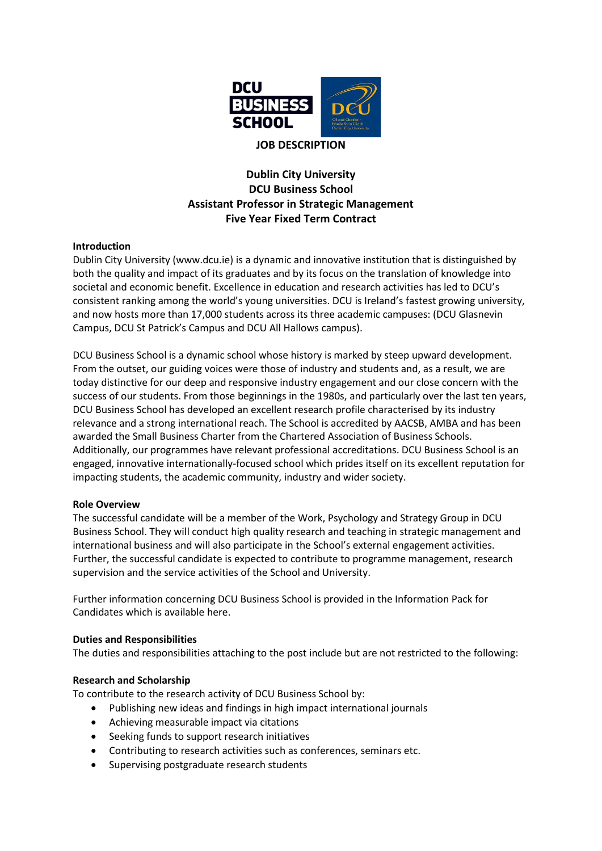

# **Dublin City University DCU Business School Assistant Professor in Strategic Management Five Year Fixed Term Contract**

## **Introduction**

Dublin City University (www.dcu.ie) is a dynamic and innovative institution that is distinguished by both the quality and impact of its graduates and by its focus on the translation of knowledge into societal and economic benefit. Excellence in education and research activities has led to DCU's consistent ranking among the world's young universities. DCU is Ireland's fastest growing university, and now hosts more than 17,000 students across its three academic campuses: (DCU Glasnevin Campus, DCU St Patrick's Campus and DCU All Hallows campus).

DCU Business School is a dynamic school whose history is marked by steep upward development. From the outset, our guiding voices were those of industry and students and, as a result, we are today distinctive for our deep and responsive industry engagement and our close concern with the success of our students. From those beginnings in the 1980s, and particularly over the last ten years, DCU Business School has developed an excellent research profile characterised by its industry relevance and a strong international reach. The School is accredited by AACSB, AMBA and has been awarded the Small Business Charter from the Chartered Association of Business Schools. Additionally, our programmes have relevant professional accreditations. DCU Business School is an engaged, innovative internationally-focused school which prides itself on its excellent reputation for impacting students, the academic community, industry and wider society.

#### **Role Overview**

The successful candidate will be a member of the Work, Psychology and Strategy Group in DCU Business School. They will conduct high quality research and teaching in strategic management and international business and will also participate in the School's external engagement activities. Further, the successful candidate is expected to contribute to programme management, research supervision and the service activities of the School and University.

Further information concerning DCU Business School is provided in the Information Pack for Candidates which is availabl[e here.](https://business.dcu.ie/wp-content/uploads/2020/02/Recruitment-Brochure-2020.pdf)

#### **Duties and Responsibilities**

The duties and responsibilities attaching to the post include but are not restricted to the following:

#### **Research and Scholarship**

To contribute to the research activity of DCU Business School by:

- Publishing new ideas and findings in high impact international journals
- Achieving measurable impact via citations
- Seeking funds to support research initiatives
- Contributing to research activities such as conferences, seminars etc.
- Supervising postgraduate research students